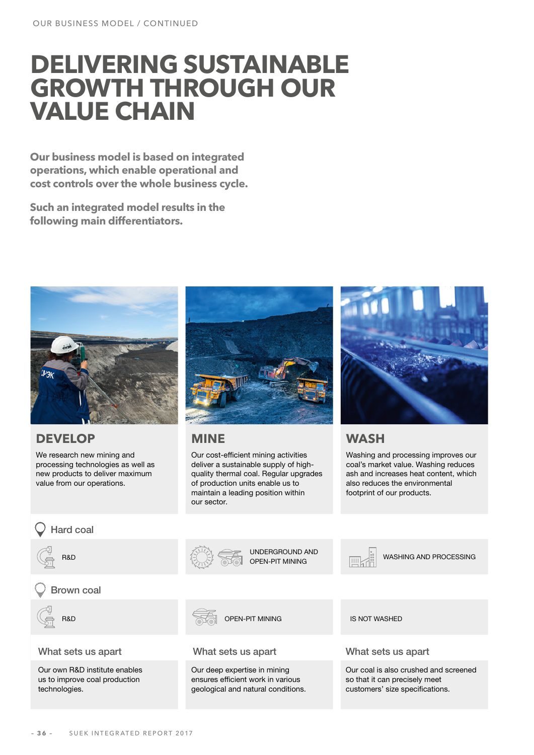# **DELIVERING SUSTAINABLE GROWTH THROUGH OUR VALUE CHAIN**

**Our business model is based on integrated operations, which enable operational and cost controls over the whole business cycle.** 

**Such an integrated model results in the following main differentiators.**



### **DEVELOP**

We research new mining and processing technologies as well as new products to deliver maximum value from our operations.



### **MINE**

Our cost-efficient mining activities deliver a sustainable supply of highquality thermal coal. Regular upgrades of production units enable us to maintain a leading position within our sector.



## **WASH**

Washing and processing improves our coal's market value. Washing reduces ash and increases heat content, which also reduces the environmental footprint of our products.



IS NOT WASHED

Our coal is also crushed and screened so that it can precisely meet customers' size specifications.